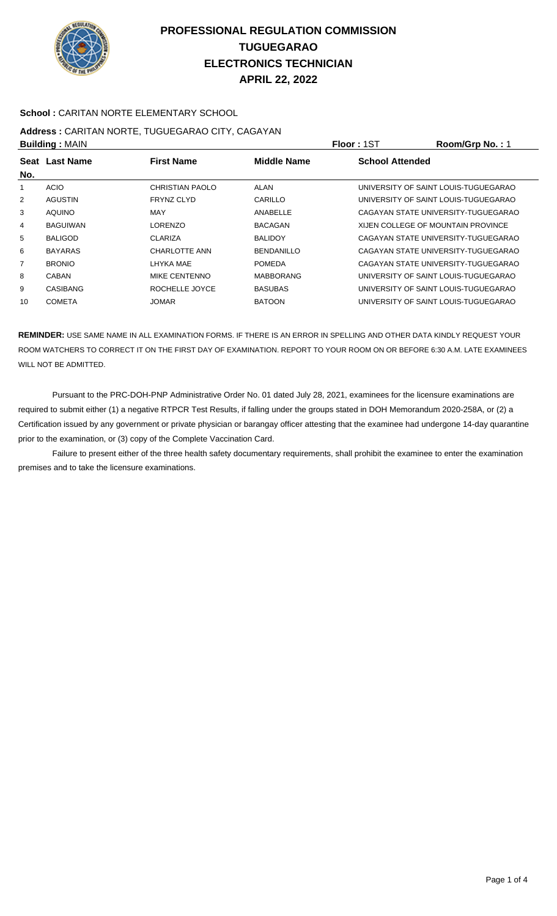

### **School :** CARITAN NORTE ELEMENTARY SCHOOL

## **Address :** CARITAN NORTE, TUGUEGARAO CITY, CAGAYAN **Building :** MAIN **Floor :** 1ST **Room/Grp No. :** 1

| P              |                |                      |                    | .                      | 1.00111011111011111                  |
|----------------|----------------|----------------------|--------------------|------------------------|--------------------------------------|
| No.            | Seat Last Name | <b>First Name</b>    | <b>Middle Name</b> | <b>School Attended</b> |                                      |
|                | <b>ACIO</b>    | CHRISTIAN PAOLO      | ALAN               |                        | UNIVERSITY OF SAINT LOUIS-TUGUEGARAO |
| $\overline{2}$ | <b>AGUSTIN</b> | <b>FRYNZ CLYD</b>    | CARILLO            |                        | UNIVERSITY OF SAINT LOUIS-TUGUEGARAO |
| 3              | <b>AQUINO</b>  | MAY                  | ANABELLE           |                        | CAGAYAN STATE UNIVERSITY-TUGUEGARAO  |
| 4              | BAGUIWAN       | LORENZO              | <b>BACAGAN</b>     |                        | XIJEN COLLEGE OF MOUNTAIN PROVINCE   |
| 5              | <b>BALIGOD</b> | <b>CLARIZA</b>       | <b>BALIDOY</b>     |                        | CAGAYAN STATE UNIVERSITY-TUGUEGARAO  |
| 6              | <b>BAYARAS</b> | <b>CHARLOTTE ANN</b> | <b>BENDANILLO</b>  |                        | CAGAYAN STATE UNIVERSITY-TUGUEGARAO  |
| 7              | <b>BRONIO</b>  | LHYKA MAE            | <b>POMEDA</b>      |                        | CAGAYAN STATE UNIVERSITY-TUGUEGARAO  |
| 8              | CABAN          | MIKE CENTENNO        | <b>MABBORANG</b>   |                        | UNIVERSITY OF SAINT LOUIS-TUGUEGARAO |
| 9              | CASIBANG       | ROCHELLE JOYCE       | <b>BASUBAS</b>     |                        | UNIVERSITY OF SAINT LOUIS-TUGUEGARAO |
| 10             | <b>COMETA</b>  | <b>JOMAR</b>         | <b>BATOON</b>      |                        | UNIVERSITY OF SAINT LOUIS-TUGUEGARAO |
|                |                |                      |                    |                        |                                      |

**REMINDER:** USE SAME NAME IN ALL EXAMINATION FORMS. IF THERE IS AN ERROR IN SPELLING AND OTHER DATA KINDLY REQUEST YOUR ROOM WATCHERS TO CORRECT IT ON THE FIRST DAY OF EXAMINATION. REPORT TO YOUR ROOM ON OR BEFORE 6:30 A.M. LATE EXAMINEES WILL NOT BE ADMITTED.

 Pursuant to the PRC-DOH-PNP Administrative Order No. 01 dated July 28, 2021, examinees for the licensure examinations are required to submit either (1) a negative RTPCR Test Results, if falling under the groups stated in DOH Memorandum 2020-258A, or (2) a Certification issued by any government or private physician or barangay officer attesting that the examinee had undergone 14-day quarantine prior to the examination, or (3) copy of the Complete Vaccination Card.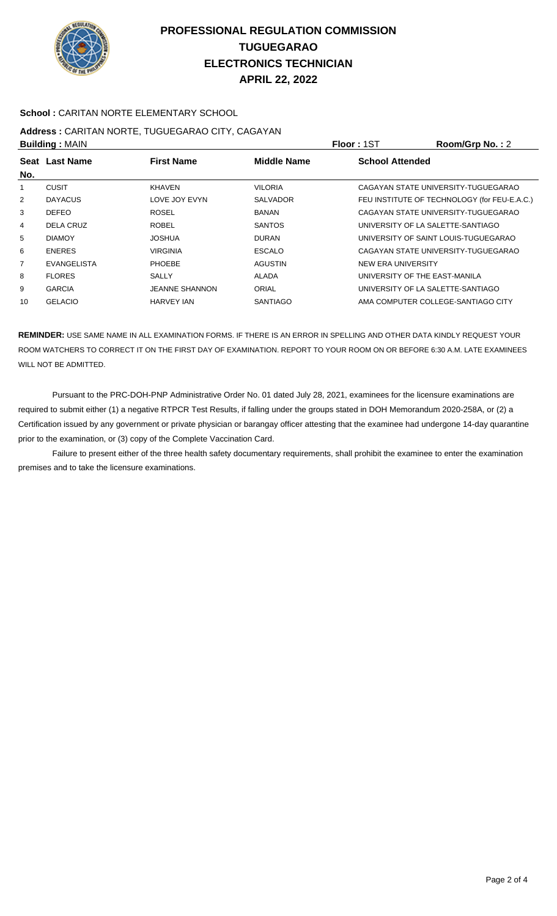

### **School :** CARITAN NORTE ELEMENTARY SCHOOL

# **Address :** CARITAN NORTE, TUGUEGARAO CITY, CAGAYAN

| <b>Building: MAIN</b> |                    |                       |                 | Floor: 1ST                        | Room/Grp No.: 2                              |
|-----------------------|--------------------|-----------------------|-----------------|-----------------------------------|----------------------------------------------|
| No.                   | Seat Last Name     | <b>First Name</b>     | Middle Name     | <b>School Attended</b>            |                                              |
|                       | CUSIT              | <b>KHAVEN</b>         | VILORIA         |                                   | CAGAYAN STATE UNIVERSITY-TUGUEGARAO          |
| 2                     | <b>DAYACUS</b>     | LOVE JOY EVYN         | <b>SALVADOR</b> |                                   | FEU INSTITUTE OF TECHNOLOGY (for FEU-E.A.C.) |
| 3                     | <b>DEFEO</b>       | <b>ROSEL</b>          | <b>BANAN</b>    |                                   | CAGAYAN STATE UNIVERSITY-TUGUEGARAO          |
| 4                     | DELA CRUZ          | <b>ROBEL</b>          | <b>SANTOS</b>   | UNIVERSITY OF LA SALETTE-SANTIAGO |                                              |
| 5                     | <b>DIAMOY</b>      | <b>JOSHUA</b>         | <b>DURAN</b>    |                                   | UNIVERSITY OF SAINT LOUIS-TUGUEGARAO         |
| 6                     | <b>ENERES</b>      | <b>VIRGINIA</b>       | <b>ESCALO</b>   |                                   | CAGAYAN STATE UNIVERSITY-TUGUEGARAO          |
| $\overline{7}$        | <b>EVANGELISTA</b> | <b>PHOEBE</b>         | <b>AGUSTIN</b>  | NEW ERA UNIVERSITY                |                                              |
| 8                     | <b>FLORES</b>      | <b>SALLY</b>          | ALADA           | UNIVERSITY OF THE EAST-MANILA     |                                              |
| 9                     | <b>GARCIA</b>      | <b>JEANNE SHANNON</b> | ORIAL           | UNIVERSITY OF LA SALETTE-SANTIAGO |                                              |
| 10                    | <b>GELACIO</b>     | <b>HARVEY IAN</b>     | <b>SANTIAGO</b> |                                   | AMA COMPUTER COLLEGE-SANTIAGO CITY           |
|                       |                    |                       |                 |                                   |                                              |

**REMINDER:** USE SAME NAME IN ALL EXAMINATION FORMS. IF THERE IS AN ERROR IN SPELLING AND OTHER DATA KINDLY REQUEST YOUR ROOM WATCHERS TO CORRECT IT ON THE FIRST DAY OF EXAMINATION. REPORT TO YOUR ROOM ON OR BEFORE 6:30 A.M. LATE EXAMINEES WILL NOT BE ADMITTED.

 Pursuant to the PRC-DOH-PNP Administrative Order No. 01 dated July 28, 2021, examinees for the licensure examinations are required to submit either (1) a negative RTPCR Test Results, if falling under the groups stated in DOH Memorandum 2020-258A, or (2) a Certification issued by any government or private physician or barangay officer attesting that the examinee had undergone 14-day quarantine prior to the examination, or (3) copy of the Complete Vaccination Card.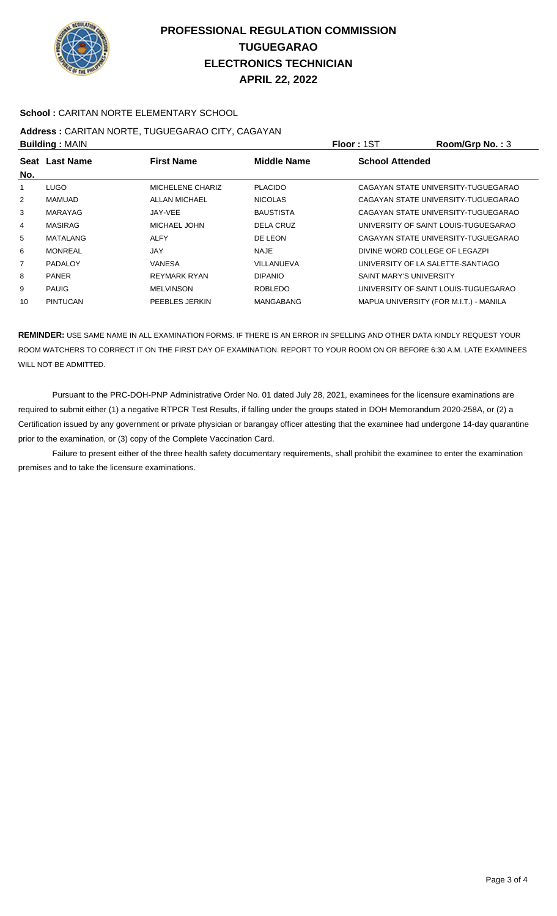

### **School :** CARITAN NORTE ELEMENTARY SCHOOL

## **Address :** CARITAN NORTE, TUGUEGARAO CITY, CAGAYAN **Building :** MAIN **Floor :** 1ST **Room/Grp No. :** 3

| <b>DUILUILLY</b> ULAIN |                 |                     |                    | .                              | 110011101111101110                     |
|------------------------|-----------------|---------------------|--------------------|--------------------------------|----------------------------------------|
|                        | Seat Last Name  | <b>First Name</b>   | <b>Middle Name</b> | <b>School Attended</b>         |                                        |
| No.                    |                 |                     |                    |                                |                                        |
|                        | <b>LUGO</b>     | MICHELENE CHARIZ    | <b>PLACIDO</b>     |                                | CAGAYAN STATE UNIVERSITY-TUGUEGARAO    |
| $\overline{2}$         | <b>MAMUAD</b>   | ALLAN MICHAEL       | <b>NICOLAS</b>     |                                | CAGAYAN STATE UNIVERSITY-TUGUEGARAO    |
| 3                      | MARAYAG         | JAY-VEE             | <b>BAUSTISTA</b>   |                                | CAGAYAN STATE UNIVERSITY-TUGUEGARAO    |
| 4                      | <b>MASIRAG</b>  | MICHAEL JOHN        | <b>DELA CRUZ</b>   |                                | UNIVERSITY OF SAINT LOUIS-TUGUEGARAO   |
| 5                      | MATALANG        | <b>ALFY</b>         | DE LEON            |                                | CAGAYAN STATE UNIVERSITY-TUGUEGARAO    |
| 6                      | <b>MONREAL</b>  | JAY                 | NAJE               |                                | DIVINE WORD COLLEGE OF LEGAZPI         |
| 7                      | PADALOY         | VANESA              | VILLANUEVA         |                                | UNIVERSITY OF LA SALETTE-SANTIAGO      |
| 8                      | <b>PANER</b>    | <b>REYMARK RYAN</b> | <b>DIPANIO</b>     | <b>SAINT MARY'S UNIVERSITY</b> |                                        |
| 9                      | <b>PAUIG</b>    | <b>MELVINSON</b>    | <b>ROBLEDO</b>     |                                | UNIVERSITY OF SAINT LOUIS-TUGUEGARAO   |
| 10                     | <b>PINTUCAN</b> | PEEBLES JERKIN      | <b>MANGABANG</b>   |                                | MAPUA UNIVERSITY (FOR M.I.T.) - MANILA |
|                        |                 |                     |                    |                                |                                        |

**REMINDER:** USE SAME NAME IN ALL EXAMINATION FORMS. IF THERE IS AN ERROR IN SPELLING AND OTHER DATA KINDLY REQUEST YOUR ROOM WATCHERS TO CORRECT IT ON THE FIRST DAY OF EXAMINATION. REPORT TO YOUR ROOM ON OR BEFORE 6:30 A.M. LATE EXAMINEES WILL NOT BE ADMITTED.

 Pursuant to the PRC-DOH-PNP Administrative Order No. 01 dated July 28, 2021, examinees for the licensure examinations are required to submit either (1) a negative RTPCR Test Results, if falling under the groups stated in DOH Memorandum 2020-258A, or (2) a Certification issued by any government or private physician or barangay officer attesting that the examinee had undergone 14-day quarantine prior to the examination, or (3) copy of the Complete Vaccination Card.